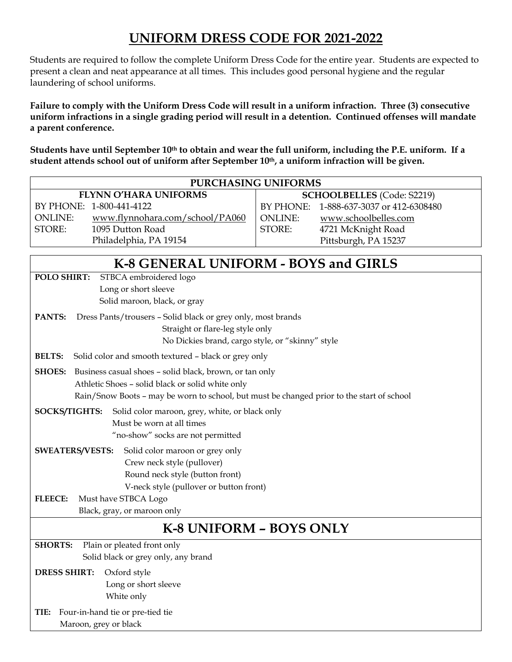## **UNIFORM DRESS CODE FOR 2021-2022**

Students are required to follow the complete Uniform Dress Code for the entire year. Students are expected to present a clean and neat appearance at all times. This includes good personal hygiene and the regular laundering of school uniforms.

**Failure to comply with the Uniform Dress Code will result in a uniform infraction. Three (3) consecutive uniform infractions in a single grading period will result in a detention. Continued offenses will mandate a parent conference.**

**Students have until September 10th to obtain and wear the full uniform, including the P.E. uniform. If a student attends school out of uniform after September 10th, a uniform infraction will be given.**

| <b>PURCHASING UNIFORMS</b>                                                                |                                            |  |
|-------------------------------------------------------------------------------------------|--------------------------------------------|--|
| <b>FLYNN O'HARA UNIFORMS</b><br><b>SCHOOLBELLES</b> (Code: S2219)                         |                                            |  |
| BY PHONE: 1-800-441-4122                                                                  | 1-888-637-3037 or 412-6308480<br>BY PHONE: |  |
| <b>ONLINE:</b><br>www.flynnohara.com/school/PA060                                         | <b>ONLINE:</b><br>www.schoolbelles.com     |  |
| STORE:<br>1095 Dutton Road                                                                | STORE:<br>4721 McKnight Road               |  |
| Philadelphia, PA 19154                                                                    | Pittsburgh, PA 15237                       |  |
|                                                                                           |                                            |  |
| K-8 GENERAL UNIFORM - BOYS and GIRLS                                                      |                                            |  |
| POLO SHIRT:<br>STBCA embroidered logo                                                     |                                            |  |
| Long or short sleeve                                                                      |                                            |  |
| Solid maroon, black, or gray                                                              |                                            |  |
| PANTS:<br>Dress Pants/trousers - Solid black or grey only, most brands                    |                                            |  |
| Straight or flare-leg style only                                                          |                                            |  |
| No Dickies brand, cargo style, or "skinny" style                                          |                                            |  |
| <b>BELTS:</b><br>Solid color and smooth textured - black or grey only                     |                                            |  |
| <b>SHOES:</b> Business casual shoes - solid black, brown, or tan only                     |                                            |  |
| Athletic Shoes - solid black or solid white only                                          |                                            |  |
| Rain/Snow Boots - may be worn to school, but must be changed prior to the start of school |                                            |  |
|                                                                                           |                                            |  |
| Solid color maroon, grey, white, or black only<br>SOCKS/TIGHTS:                           |                                            |  |
| Must be worn at all times<br>"no-show" socks are not permitted                            |                                            |  |
|                                                                                           |                                            |  |
| <b>SWEATERS/VESTS:</b><br>Solid color maroon or grey only                                 |                                            |  |
| Crew neck style (pullover)                                                                |                                            |  |
| Round neck style (button front)                                                           |                                            |  |
| V-neck style (pullover or button front)                                                   |                                            |  |
| Must have STBCA Logo<br><b>FLEECE:</b>                                                    |                                            |  |
| Black, gray, or maroon only                                                               |                                            |  |
| <b>K-8 UNIFORM - BOYS ONLY</b>                                                            |                                            |  |
| <b>SHORTS:</b><br>Plain or pleated front only                                             |                                            |  |
| Solid black or grey only, any brand                                                       |                                            |  |
| <b>DRESS SHIRT:</b><br>Oxford style                                                       |                                            |  |
| Long or short sleeve                                                                      |                                            |  |
| White only                                                                                |                                            |  |
| Four-in-hand tie or pre-tied tie<br>TIE:                                                  |                                            |  |
| Maroon, grey or black                                                                     |                                            |  |
|                                                                                           |                                            |  |